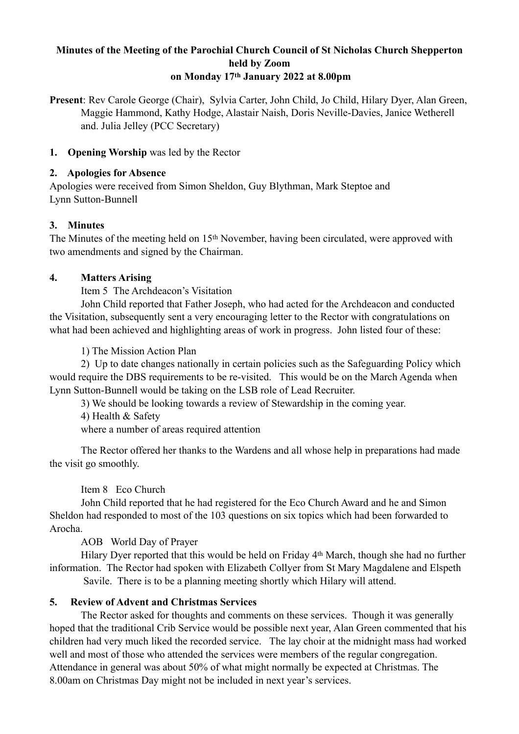## **Minutes of the Meeting of the Parochial Church Council of St Nicholas Church Shepperton held by Zoom on Monday 17th January 2022 at 8.00pm**

**Present**: Rev Carole George (Chair), Sylvia Carter, John Child, Jo Child, Hilary Dyer, Alan Green, Maggie Hammond, Kathy Hodge, Alastair Naish, Doris Neville-Davies, Janice Wetherell and. Julia Jelley (PCC Secretary)

## **1. Opening Worship** was led by the Rector

### **2. Apologies for Absence**

Apologies were received from Simon Sheldon, Guy Blythman, Mark Steptoe and Lynn Sutton-Bunnell

## **3. Minutes**

The Minutes of the meeting held on 15<sup>th</sup> November, having been circulated, were approved with two amendments and signed by the Chairman.

## **4. Matters Arising**

Item 5The Archdeacon's Visitation

John Child reported that Father Joseph, who had acted for the Archdeacon and conducted the Visitation, subsequently sent a very encouraging letter to the Rector with congratulations on what had been achieved and highlighting areas of work in progress. John listed four of these:

1) The Mission Action Plan

2) Up to date changes nationally in certain policies such as the Safeguarding Policy which would require the DBS requirements to be re-visited. This would be on the March Agenda when Lynn Sutton-Bunnell would be taking on the LSB role of Lead Recruiter.

3) We should be looking towards a review of Stewardship in the coming year.

4) Health & Safety

where a number of areas required attention

The Rector offered her thanks to the Wardens and all whose help in preparations had made the visit go smoothly.

# Item 8 Eco Church

John Child reported that he had registered for the Eco Church Award and he and Simon Sheldon had responded to most of the 103 questions on six topics which had been forwarded to Arocha.

AOB World Day of Prayer

Hilary Dyer reported that this would be held on Friday 4th March, though she had no further information. The Rector had spoken with Elizabeth Collyer from St Mary Magdalene and Elspeth Savile. There is to be a planning meeting shortly which Hilary will attend.

# **5. Review of Advent and Christmas Services**

The Rector asked for thoughts and comments on these services. Though it was generally hoped that the traditional Crib Service would be possible next year, Alan Green commented that his children had very much liked the recorded service. The lay choir at the midnight mass had worked well and most of those who attended the services were members of the regular congregation. Attendance in general was about 50% of what might normally be expected at Christmas. The 8.00am on Christmas Day might not be included in next year's services.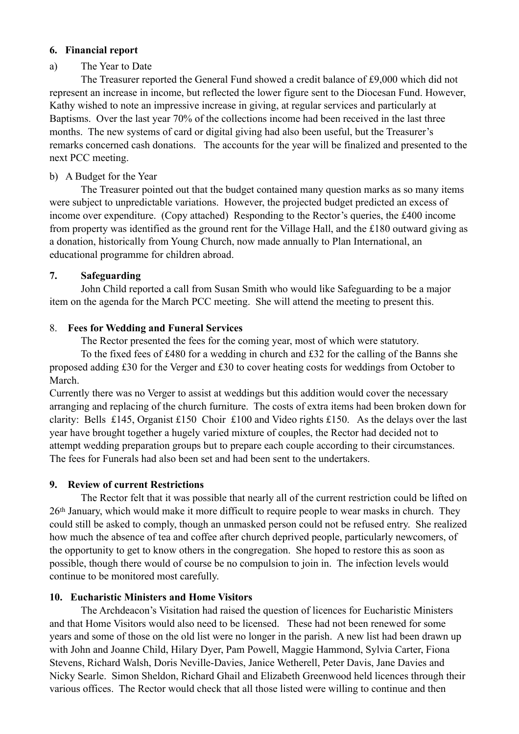#### **6. Financial report**

### a) The Year to Date

The Treasurer reported the General Fund showed a credit balance of £9,000 which did not represent an increase in income, but reflected the lower figure sent to the Diocesan Fund. However, Kathy wished to note an impressive increase in giving, at regular services and particularly at Baptisms. Over the last year 70% of the collections income had been received in the last three months. The new systems of card or digital giving had also been useful, but the Treasurer's remarks concerned cash donations. The accounts for the year will be finalized and presented to the next PCC meeting.

### b) A Budget for the Year

The Treasurer pointed out that the budget contained many question marks as so many items were subject to unpredictable variations. However, the projected budget predicted an excess of income over expenditure. (Copy attached) Responding to the Rector's queries, the £400 income from property was identified as the ground rent for the Village Hall, and the £180 outward giving as a donation, historically from Young Church, now made annually to Plan International, an educational programme for children abroad.

### **7. Safeguarding**

John Child reported a call from Susan Smith who would like Safeguarding to be a major item on the agenda for the March PCC meeting. She will attend the meeting to present this.

### 8. **Fees for Wedding and Funeral Services**

The Rector presented the fees for the coming year, most of which were statutory.

To the fixed fees of £480 for a wedding in church and £32 for the calling of the Banns she proposed adding £30 for the Verger and £30 to cover heating costs for weddings from October to March.

Currently there was no Verger to assist at weddings but this addition would cover the necessary arranging and replacing of the church furniture. The costs of extra items had been broken down for clarity: Bells £145, Organist £150 Choir £100 and Video rights £150. As the delays over the last year have brought together a hugely varied mixture of couples, the Rector had decided not to attempt wedding preparation groups but to prepare each couple according to their circumstances. The fees for Funerals had also been set and had been sent to the undertakers.

### **9. Review of current Restrictions**

The Rector felt that it was possible that nearly all of the current restriction could be lifted on 26th January, which would make it more difficult to require people to wear masks in church. They could still be asked to comply, though an unmasked person could not be refused entry. She realized how much the absence of tea and coffee after church deprived people, particularly newcomers, of the opportunity to get to know others in the congregation. She hoped to restore this as soon as possible, though there would of course be no compulsion to join in. The infection levels would continue to be monitored most carefully.

### **10. Eucharistic Ministers and Home Visitors**

The Archdeacon's Visitation had raised the question of licences for Eucharistic Ministers and that Home Visitors would also need to be licensed. These had not been renewed for some years and some of those on the old list were no longer in the parish. A new list had been drawn up with John and Joanne Child, Hilary Dyer, Pam Powell, Maggie Hammond, Sylvia Carter, Fiona Stevens, Richard Walsh, Doris Neville-Davies, Janice Wetherell, Peter Davis, Jane Davies and Nicky Searle. Simon Sheldon, Richard Ghail and Elizabeth Greenwood held licences through their various offices. The Rector would check that all those listed were willing to continue and then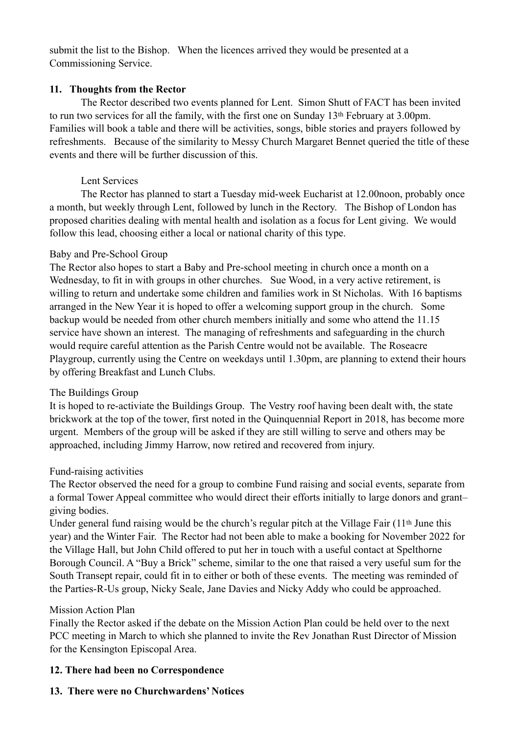submit the list to the Bishop. When the licences arrived they would be presented at a Commissioning Service.

## **11. Thoughts from the Rector**

The Rector described two events planned for Lent. Simon Shutt of FACT has been invited to run two services for all the family, with the first one on Sunday 13th February at 3.00pm. Families will book a table and there will be activities, songs, bible stories and prayers followed by refreshments. Because of the similarity to Messy Church Margaret Bennet queried the title of these events and there will be further discussion of this.

## Lent Services

The Rector has planned to start a Tuesday mid-week Eucharist at 12.00noon, probably once a month, but weekly through Lent, followed by lunch in the Rectory. The Bishop of London has proposed charities dealing with mental health and isolation as a focus for Lent giving. We would follow this lead, choosing either a local or national charity of this type.

## Baby and Pre-School Group

The Rector also hopes to start a Baby and Pre-school meeting in church once a month on a Wednesday, to fit in with groups in other churches. Sue Wood, in a very active retirement, is willing to return and undertake some children and families work in St Nicholas. With 16 baptisms arranged in the New Year it is hoped to offer a welcoming support group in the church. Some backup would be needed from other church members initially and some who attend the 11.15 service have shown an interest. The managing of refreshments and safeguarding in the church would require careful attention as the Parish Centre would not be available. The Roseacre Playgroup, currently using the Centre on weekdays until 1.30pm, are planning to extend their hours by offering Breakfast and Lunch Clubs.

### The Buildings Group

It is hoped to re-activiate the Buildings Group. The Vestry roof having been dealt with, the state brickwork at the top of the tower, first noted in the Quinquennial Report in 2018, has become more urgent. Members of the group will be asked if they are still willing to serve and others may be approached, including Jimmy Harrow, now retired and recovered from injury.

### Fund-raising activities

The Rector observed the need for a group to combine Fund raising and social events, separate from a formal Tower Appeal committee who would direct their efforts initially to large donors and grant– giving bodies.

Under general fund raising would be the church's regular pitch at the Village Fair (11th June this year) and the Winter Fair. The Rector had not been able to make a booking for November 2022 for the Village Hall, but John Child offered to put her in touch with a useful contact at Spelthorne Borough Council. A "Buy a Brick" scheme, similar to the one that raised a very useful sum for the South Transept repair, could fit in to either or both of these events. The meeting was reminded of the Parties-R-Us group, Nicky Seale, Jane Davies and Nicky Addy who could be approached.

### Mission Action Plan

Finally the Rector asked if the debate on the Mission Action Plan could be held over to the next PCC meeting in March to which she planned to invite the Rev Jonathan Rust Director of Mission for the Kensington Episcopal Area.

# **12. There had been no Correspondence**

# **13. There were no Churchwardens' Notices**